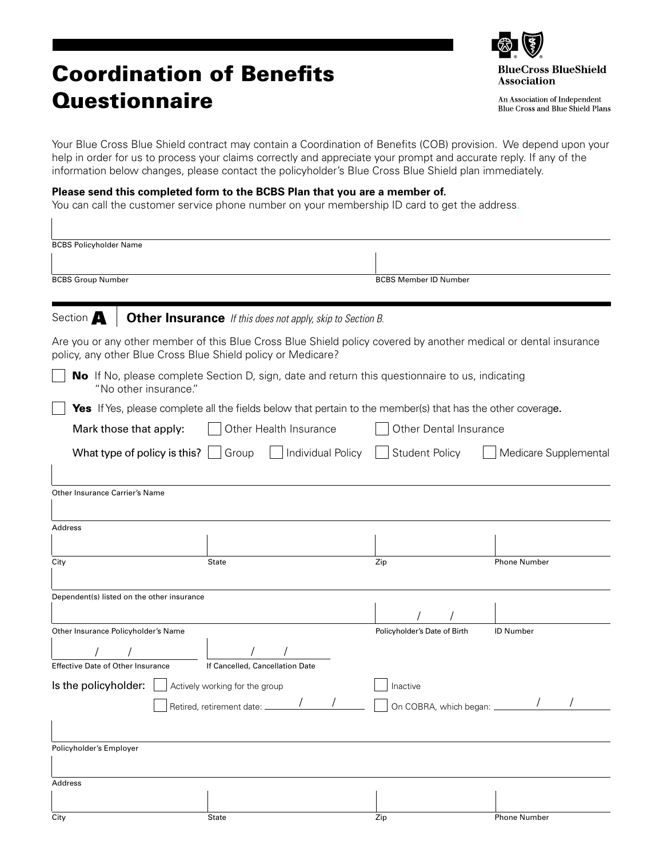## Coordination of Benefits **Questionnaire**



An Association of Independent Blue Cross and Blue Shield Plans

Your Blue Cross Blue Shield contract may contain a Coordination of Benefits (COB) provision. We depend upon your help in order for us to process your claims correctly and appreciate your prompt and accurate reply. If any of the information below changes, please contact the policyholder's Blue Cross Blue Shield plan immediately.

## **Please send this completed form to the BCBS Plan that you are a member of.**

You can call the customer service phone number on your membership ID card to get the address.

| <b>BCBS Policyholder Name</b>                          |                                            |                                                                                                                                                                                  |                              |                       |  |
|--------------------------------------------------------|--------------------------------------------|----------------------------------------------------------------------------------------------------------------------------------------------------------------------------------|------------------------------|-----------------------|--|
| <b>BCBS Group Number</b>                               |                                            |                                                                                                                                                                                  | <b>BCBS Member ID Number</b> |                       |  |
|                                                        |                                            |                                                                                                                                                                                  |                              |                       |  |
| Section A                                              |                                            | <b>Other Insurance</b> If this does not apply, skip to Section B.                                                                                                                |                              |                       |  |
|                                                        |                                            | Are you or any other member of this Blue Cross Blue Shield policy covered by another medical or dental insurance<br>policy, any other Blue Cross Blue Shield policy or Medicare? |                              |                       |  |
|                                                        | "No other insurance."                      | No If No, please complete Section D, sign, date and return this questionnaire to us, indicating                                                                                  |                              |                       |  |
|                                                        |                                            | <b>Yes</b> If Yes, please complete all the fields below that pertain to the member(s) that has the other coverage.                                                               |                              |                       |  |
| Other Health Insurance<br>Mark those that apply:       |                                            |                                                                                                                                                                                  | Other Dental Insurance       |                       |  |
|                                                        | What type of policy is this? $\Box$        | Individual Policy<br>Group                                                                                                                                                       | <b>Student Policy</b>        | Medicare Supplemental |  |
| Other Insurance Carrier's Name<br><b>Address</b>       |                                            |                                                                                                                                                                                  |                              |                       |  |
| City                                                   |                                            | <b>State</b>                                                                                                                                                                     | Zip                          | <b>Phone Number</b>   |  |
|                                                        | Dependent(s) listed on the other insurance |                                                                                                                                                                                  |                              |                       |  |
|                                                        | Other Insurance Policyholder's Name        |                                                                                                                                                                                  | Policyholder's Date of Birth | <b>ID Number</b>      |  |
|                                                        |                                            |                                                                                                                                                                                  |                              |                       |  |
| <b>Effective Date of Other Insurance</b>               |                                            | If Cancelled, Cancellation Date                                                                                                                                                  |                              |                       |  |
| Is the policyholder:<br>Actively working for the group |                                            |                                                                                                                                                                                  | Inactive                     |                       |  |
|                                                        |                                            | Retired, retirement date: _                                                                                                                                                      | On COBRA, which began: _     |                       |  |
|                                                        |                                            |                                                                                                                                                                                  |                              |                       |  |
| Policyholder's Employer                                |                                            |                                                                                                                                                                                  |                              |                       |  |
| Address                                                |                                            |                                                                                                                                                                                  |                              |                       |  |
|                                                        |                                            |                                                                                                                                                                                  |                              |                       |  |
| City                                                   |                                            | State                                                                                                                                                                            | Zip                          | <b>Phone Number</b>   |  |